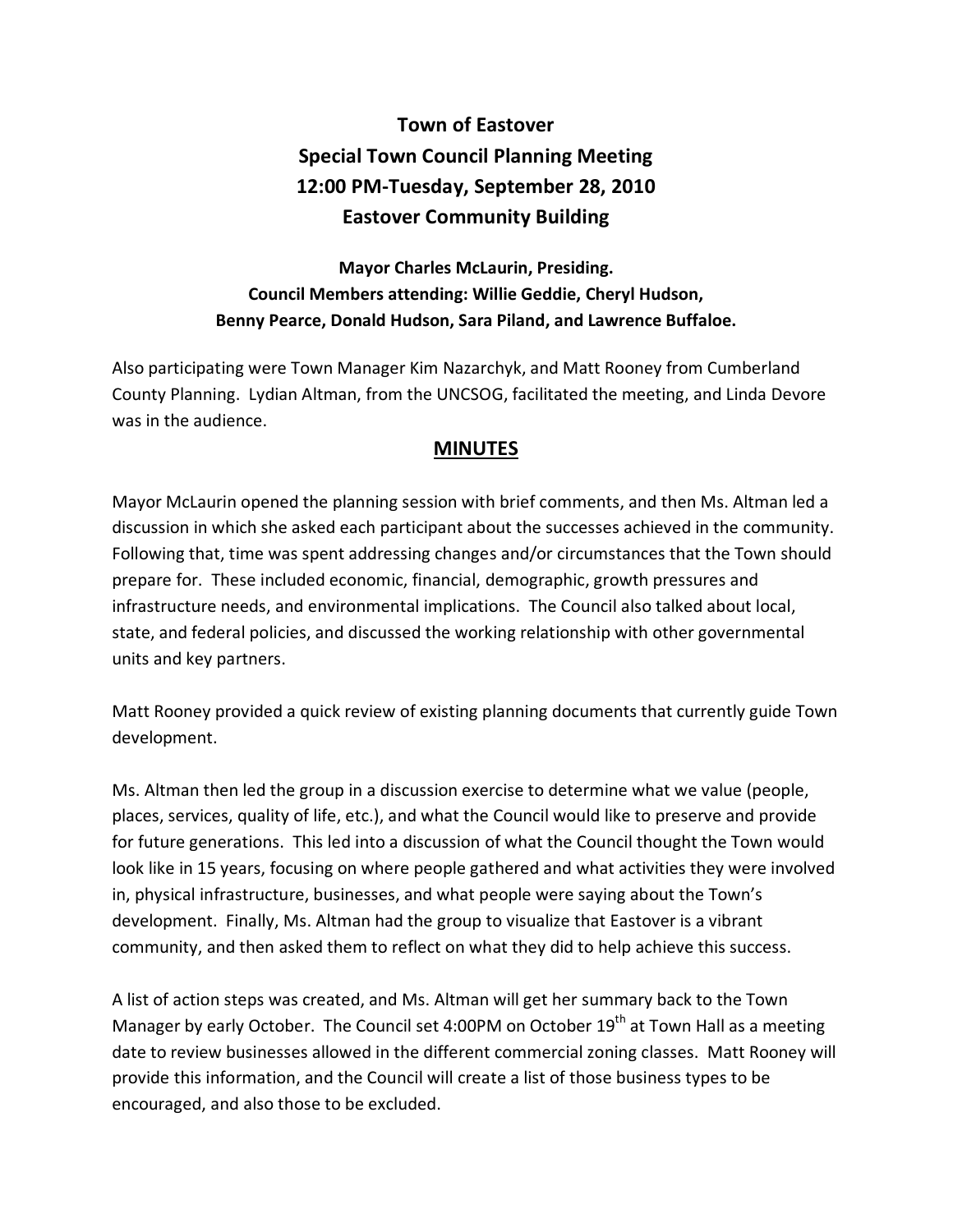## **Town of Eastover Special Town Council Planning Meeting 12:00 PM-Tuesday, September 28, 2010 Eastover Community Building**

## **Mayor Charles McLaurin, Presiding. Council Members attending: Willie Geddie, Cheryl Hudson, Benny Pearce, Donald Hudson, Sara Piland, and Lawrence Buffaloe.**

Also participating were Town Manager Kim Nazarchyk, and Matt Rooney from Cumberland County Planning. Lydian Altman, from the UNCSOG, facilitated the meeting, and Linda Devore was in the audience.

## **MINUTES**

Mayor McLaurin opened the planning session with brief comments, and then Ms. Altman led a discussion in which she asked each participant about the successes achieved in the community. Following that, time was spent addressing changes and/or circumstances that the Town should prepare for. These included economic, financial, demographic, growth pressures and infrastructure needs, and environmental implications. The Council also talked about local, state, and federal policies, and discussed the working relationship with other governmental units and key partners.

Matt Rooney provided a quick review of existing planning documents that currently guide Town development.

Ms. Altman then led the group in a discussion exercise to determine what we value (people, places, services, quality of life, etc.), and what the Council would like to preserve and provide for future generations. This led into a discussion of what the Council thought the Town would look like in 15 years, focusing on where people gathered and what activities they were involved in, physical infrastructure, businesses, and what people were saying about the Town's development. Finally, Ms. Altman had the group to visualize that Eastover is a vibrant community, and then asked them to reflect on what they did to help achieve this success.

A list of action steps was created, and Ms. Altman will get her summary back to the Town Manager by early October. The Council set 4:00PM on October 19<sup>th</sup> at Town Hall as a meeting date to review businesses allowed in the different commercial zoning classes. Matt Rooney will provide this information, and the Council will create a list of those business types to be encouraged, and also those to be excluded.